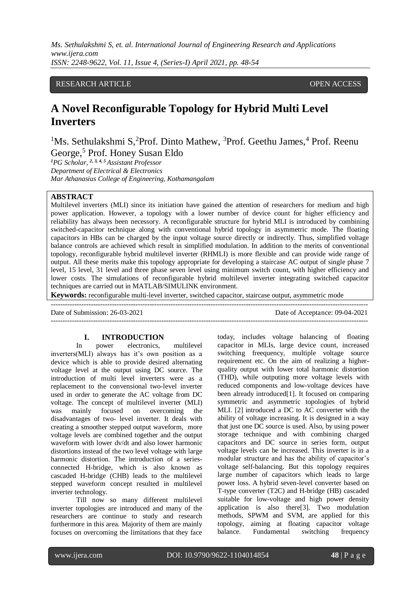*Ms. Sethulakshmi S, et. al. International Journal of Engineering Research and Applications www.ijera.com ISSN: 2248-9622, Vol. 11, Issue 4, (Series-I) April 2021, pp. 48-54*

# RESEARCH ARTICLE **OPEN ACCESS**

# **A Novel Reconfigurable Topology for Hybrid Multi Level Inverters**

<sup>1</sup>Ms. Sethulakshmi S,<sup>2</sup>Prof. Dinto Mathew, <sup>3</sup>Prof. Geethu James, <sup>4</sup> Prof. Reenu George,<sup>5</sup> Prof. Honey Susan Eldo

*<sup>1</sup>PG Scholar, 2, 3, 4, 5 Assistant Professor Department of Electrical & Electronics Mar Athanasius College of Engineering, Kothamangalam*

# **ABSTRACT**

Multilevel inverters (MLI) since its initiation have gained the attention of researchers for medium and high power application. However, a topology with a lower number of device count for higher efficiency and reliability has always been necessory. A reconfigurable structure for hybrid MLI is introduced by combining switched-capacitor technique along with conventional hybrid topology in asymmetric mode. The floating capacitors in HBs can be charged by the input voltage source directly or indirectly. Thus, simplified voltage balance controls are achieved which result in simplified modulation. In addition to the merits of conventional topology, reconfigurable hybrid multilevel inverter (RHMLI) is more flexible and can provide wide range of output. All these merits make this topology appropriate for developing a staircase AC output of single phase 7 level, 15 level, 31 level and three phase seven level using minimum switch count, with higher efficiency and lower costs. The simulations of reconfigurable hybrid multilevel inverter integrating switched capacitor techniques are carried out in MATLAB/SIMULINK environment.

**Keywords:** reconfigurable multi-level inverter, switched capacitor, staircase output, asymmetric mode ---------------------------------------------------------------------------------------------------------------------------------------

Date of Submission: 26-03-2021 Date of Acceptance: 09-04-2021

## **I. INTRODUCTION**

In power electronics, multilevel inverters(MLI) always has it's own position as a device which is able to provide desired alternating voltage level at the output using DC source. The introduction of multi level inverters were as a replacement to the convensional two-level inverter used in order to generate the AC voltage from DC voltage. The concept of multilevel inverter (MLI) was mainly focused on overcoming the disadvantages of two- level inverter. It deals with creating a smoother stepped output waveform, more voltage levels are combined together and the output waveform with lower dv/dt and also lower harmonic distortions instead of the two level voltage with large harmonic distortion. The introduction of a seriesconnected H-bridge, which is also known as cascaded H-bridge (CHB) leads to the multilevel stepped waveform concept resulted in multilevel inverter technology.

Till now so many different multilevel inverter topologies are introduced and many of the researchers are continue to study and research furthermore in this area. Majority of them are mainly focuses on overcoming the limitations that they face

today, includes voltage balancing of floating capacitor in MLIs, large device count, increased switching freequency, multiple voltage source requirement etc. On the aim of realizing a higherquality output with lower total harmonic distortion (THD), while outputing more voltage levels with reduced components and low-voltage devices have been already introduced<sup>[1]</sup>. It focused on comparing symmetric and asymmetric topologies of hybrid MLI. [2] introduced a DC to AC converter with the ability of voltage increasing. It is designed in a way that just one DC source is used. Also, by using power storage technique and with combining charged capacitors and DC source in series form, output voltage levels can be increased. This inverter is in a modular structure and has the ability of capacitor's voltage self-balancing. But this topology requires large number of capacitors which leads to large power loss. A hybrid seven-level converter based on T-type converter (T2C) and H-bridge (HB) cascaded suitable for low-voltage and high power density application is also there[3]. Two modulation methods, SPWM and SVM, are applied for this topology, aiming at floating capacitor voltage balance. Fundamental switching frequency

---------------------------------------------------------------------------------------------------------------------------------------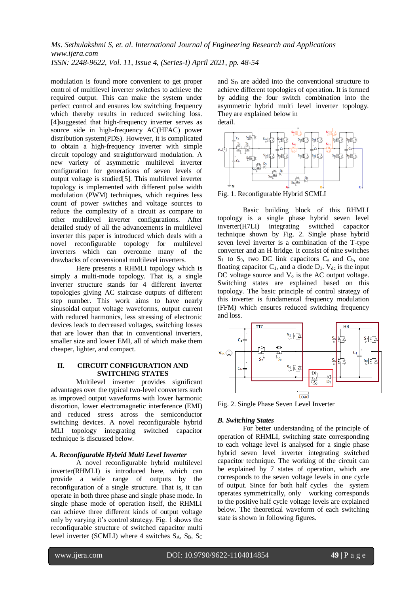modulation is found more convenient to get proper control of multilevel inverter switches to achieve the required output. This can make the system under perfect control and ensures low switching frequency which thereby results in reduced switching loss. [4]suggested that high-frequency inverter serves as source side in high-frequency AC(HFAC) power distribution system(PDS). However, it is complicated to obtain a high-frequency inverter with simple circuit topology and straightforward modulation. A new variety of asymmetric multilevel inverter configuration for generations of seven levels of output voltage is studied[5]. This multilevel inverter topology is implemented with different pulse width modulation (PWM) techniques, which requires less count of power switches and voltage sources to reduce the complexity of a circuit as compare to other multilevel inverter configurations. After detailed study of all the advancements in multilevel inverter this paper is introduced which deals with a novel reconfigurable topology for multilevel inverters which can overcome many of the drawbacks of convensional multilevel inverters.

Here presents a RHMLI topology which is simply a multi-mode topology. That is, a single inverter structure stands for 4 different inverter topologies giving AC staircase outputs of different step number. This work aims to have nearly sinusoidal output voltage waveforms, output current with reduced harmonics, less stressing of electronic devices leads to decreased voltages, switching losses that are lower than that in conventional inverters, smaller size and lower EMI, all of which make them cheaper, lighter, and compact.

# **II. CIRCUIT CONFIGURATION AND SWITCHING STATES**

Multilevel inverter provides significant advantages over the typical two-level converters such as improved output waveforms with lower harmonic distortion, lower electromagnetic interference (EMI) and reduced stress across the semiconductor switching devices. A novel reconfigurable hybrid MLI topology integrating switched capacitor technique is discussed below.

# *A. Reconfigurable Hybrid Multi Level Inverter*

A novel reconfigurable hybrid multilevel inverter(RHMLI) is introduced here, which can provide a wide range of outputs by the reconfiguration of a single structure. That is, it can operate in both three phase and single phase mode. In single phase mode of operation itself, the RHMLI can achieve three different kinds of output voltage only by varying it's control strategy. Fig. 1 shows the reconfiqurable structure of switched capacitor multi level inverter (SCMLI) where 4 switches  $S_A$ ,  $S_B$ ,  $S_C$ 

and  $S_D$  are added into the conventional structure to achieve different topologies of operation. It is formed by adding the four switch combination into the asymmetric hybrid multi level inverter topology. They are explained below in detail.



Fig. 1. Reconfigurable Hybrid SCMLI

Basic building block of this RHMLI topology is a single phase hybrid seven level inverter(H7LI) integrating switched capacitor technique shown by Fig. 2. Single phase hybrid seven level inverter is a combination of the T-type converter and an H-bridge. It consist of nine switches  $S_1$  to  $S_9$ , two DC link capacitors  $C_a$  and  $C_b$ , one floating capacitor  $C_1$ , and a diode  $D_1$ . V<sub>dc</sub> is the input DC voltage source and  $V_0$  is the AC output voltage. Switching states are explained based on this topology. The basic principle of control strategy of this inverter is fundamental frequency modulation (FFM) which ensures reduced switching frequency and loss.



Fig. 2. Single Phase Seven Level Inverter

# *B. Switching States*

For better understanding of the principle of operation of RHMLI, switching state corresponding to each voltage level is analysed for a single phase hybrid seven level inverter integrating switched capacitor technique. The working of the circuit can be explained by 7 states of operation, which are corresponds to the seven voltage levels in one cycle of output. Since for both half cycles the system operates symmetrically, only working corresponds to the positive half cycle voltage levels are explained below. The theoretical waveform of each switching state is shown in following figures.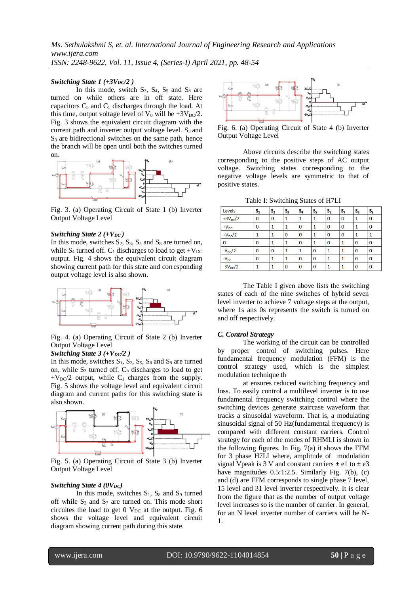## *Switching State 1* (+3 $V_{DC}/2$  )

In this mode, switch  $S_3$ ,  $S_4$ ,  $S_5$  and  $S_8$  are turned on while others are in off state. Here capacitors  $C_b$  and  $C_1$  discharges through the load. At this time, output voltage level of  $V_0$  will be  $+3V_{DC}/2$ . Fig. 3 shows the equivalent circuit diagram with the current path and inverter output voltage level.  $S_2$  and  $S<sub>3</sub>$  are bidirectional switches on the same path, hence the branch will be open until both the switches turned on.



Fig. 3. (a) Operating Circuit of State 1 (b) Inverter Output Voltage Level

## *Switching State 2 (+V<sub>DC</sub>)*

In this mode, switches  $S_2$ ,  $S_3$ ,  $S_5$  and  $S_8$  are turned on, while S<sub>4</sub> turned off.  $C_1$  discharges to load to get  $+V_{DC}$ output. Fig. 4 shows the equivalent circuit diagram showing current path for this state and corresponding output voltage level is also shown.



Fig. 4. (a) Operating Circuit of State 2 (b) Inverter Output Voltage Level

# *Switching State 3 (+V<sub>DC</sub>*/2)

In this mode, switches  $S_1$ ,  $S_2$ ,  $S_5$ ,  $S_8$  and  $S_9$  are turned on, while  $S_3$  turned off.  $C_b$  discharges to load to get  $+V_{\text{DC}}/2$  output, while C<sub>1</sub> charges from the supply. Fig. 5 shows the voltage level and equivalent circuit diagram and current paths for this switching state is also shown.



Fig. 5. (a) Operating Circuit of State 3 (b) Inverter Output Voltage Level

## *Switching State 4 (0V<sub>DC</sub>)*

In this mode, switches  $S_1$ ,  $S_8$  and  $S_9$  turned off while  $S_3$  and  $S_7$  are turned on. This mode short circuites the load to get  $0$  V<sub>DC</sub> at the output. Fig. 6 shows the voltage level and equivalent circuit diagram showing current path during this state.



Fig. 6. (a) Operating Circuit of State 4 (b) Inverter Output Voltage Level

Above circuits describe the switching states corresponding to the positive steps of AC output voltage. Switching states corresponding to the negative voltage levels are symmetric to that of positive states.

Table I: Switching States of H7LI

|                     |                         |              |             | $\tilde{\phantom{a}}$ |          |              |             |              |             |
|---------------------|-------------------------|--------------|-------------|-----------------------|----------|--------------|-------------|--------------|-------------|
| Levels              | $\mathsf{s}_\mathsf{1}$ | $S_{2}$      | $S_3$       | $S_4$                 | $S_{5}$  | $S_6$        | s,          | $S_{\tt{S}}$ | Sg          |
| $+3V_{\text{DC}}/2$ | $\bf{0}$                | $\mathbf 0$  | 1           | 1                     | 1        | $\mathbf{0}$ | $\mathbf 0$ |              | 0           |
| $+V_{DC}$           | 0                       | $\mathbf{1}$ |             | 0                     | 1        | $\bf{0}$     | $\mathbf 0$ |              | 0           |
| $+V_{\text{DC}}/2$  |                         | 1            | $\mathbf 0$ | $\mathbf 0$           | 1        | $\bf{0}$     | $\mathbf 0$ |              | 1           |
| $\mathbf 0$         | 0                       | 1            | 1           | $\mathbf{0}$          | 1        | 0            | 1           | $\bf{O}$     | 0           |
| $-V_{\text{DC}}/2$  | $\mathbf{0}$            | $\mathbf 0$  | 1           |                       | $\bf{0}$ | 1            | 1           | $\mathbf{0}$ | 0           |
| $-V_{DC}$           | $\bf{0}$                | 1            | 1           | $\Omega$              | $\bf{0}$ | 1            | 1           | $\Omega$     | $\mathbf 0$ |
| $-3V_{\text{DC}}/2$ |                         | 1            | 0           | 0                     | $\bf{0}$ | 1            | 1           | 0            | $\bf{0}$    |

The Table I given above lists the switching states of each of the nine switches of hybrid seven level inverter to achieve 7 voltage steps at the output, where 1s ans 0s represents the switch is turned on and off respectively.

#### *C. Control Strategy*

The working of the circuit can be controlled by proper control of switching pulses. Here fundamental frequency modulation (FFM) is the control strategy used, which is the simplest modulation technique th

at ensures reduced switching frequency and loss. To easily control a multilevel inverter is to use fundamental frequency switching control where the switching devices generate staircase waveform that tracks a sinusoidal waveform. That is, a modulating sinusoidal signal of 50 Hz(fundamental frequency) is compared with different constant carriers. Control strategy for each of the modes of RHMLI is shown in the following figures. In Fig. 7(a) it shows the FFM for 3 phase H7LI where, amplitude of modulation signal Vpeak is 3 V and constant carriers  $\pm$  e1 to  $\pm$  e3 have magnitudes 0.5:1:2.5. Similarly Fig. 7(b), (c) and (d) are FFM corresponds to single phase 7 level, 15 level and 31 level inverter respectively. It is clear from the figure that as the number of output voltage level increases so is the number of carrier. In general, for an N level inverter number of carriers will be N-1.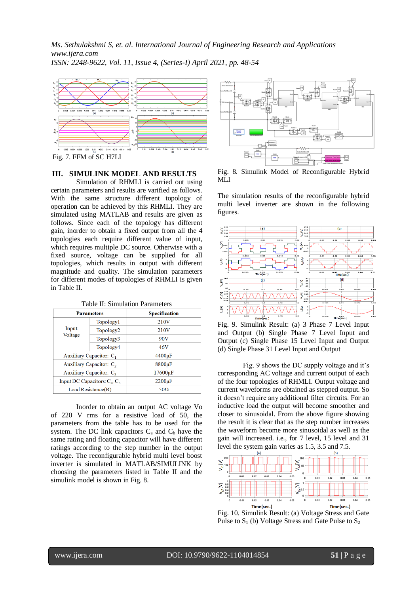*Ms. Sethulakshmi S, et. al. International Journal of Engineering Research and Applications www.ijera.com ISSN: 2248-9622, Vol. 11, Issue 4, (Series-I) April 2021, pp. 48-54*



Fig. 7. FFM of SC H7LI

# **III. SIMULINK MODEL AND RESULTS**

Simulation of RHMLI is carried out using certain parameters and results are varified as follows. With the same structure different topology of operation can be achieved by this RHMLI. They are simulated using MATLAB and results are given as follows. Since each of the topology has different gain, inorder to obtain a fixed output from all the 4 topologies each require different value of input, which requires multiple DC source. Otherwise with a fixed source, voltage can be supplied for all topologies, which results in output with different magnitude and quality. The simulation parameters for different modes of topologies of RHMLI is given in Table II.

| <b>Parameters</b>                   |                            | <b>Specification</b> |  |  |
|-------------------------------------|----------------------------|----------------------|--|--|
|                                     | Topology1                  | 210 <sub>V</sub>     |  |  |
| Input                               | Topology <sub>2</sub>      | 210 <sub>V</sub>     |  |  |
| Voltage                             | Topology3                  | 90V                  |  |  |
|                                     | Topology4                  | 46V                  |  |  |
| Auxiliary Capacitor: C <sub>1</sub> |                            | $4400 \mu F$         |  |  |
|                                     | Auxiliary Capacitor: $C_2$ | 8800µF               |  |  |
| Auxiliary Capacitor: C <sub>3</sub> |                            | 17600 <sub>uF</sub>  |  |  |
| Input DC Capacitors: $C_a, C_b$     |                            | $2200 \mu F$         |  |  |
| Load Resistance(R)                  |                            | $50\Omega$           |  |  |

Table II: Simulation Parameters

Inorder to obtain an output AC voltage Vo of 220 V rms for a resistive load of 50, the parameters from the table has to be used for the system. The DC link capacitors  $C_a$  and  $C_b$  have the same rating and floating capacitor will have different ratings according to the step number in the output voltage. The reconfigurable hybrid multi level boost inverter is simulated in MATLAB/SIMULINK by choosing the parameters listed in Table II and the simulink model is shown in Fig. 8.



Fig. 8. Simulink Model of Reconfigurable Hybrid MLI

The simulation results of the reconfigurable hybrid multi level inverter are shown in the following figures.



Fig. 9. Simulink Result: (a) 3 Phase 7 Level Input and Output (b) Single Phase 7 Level Input and Output (c) Single Phase 15 Level Input and Output (d) Single Phase 31 Level Input and Output

Fig. 9 shows the DC supply voltage and it's corresponding AC voltage and current output of each of the four topologies of RHMLI. Output voltage and current waveforms are obtained as stepped output. So it doesn't require any additional filter circuits. For an inductive load the output will become smoother and closer to sinusoidal. From the above figure showing the result it is clear that as the step number increases the waveform become more sinusoidal as well as the gain will increased. i.e., for 7 level, 15 level and 31 level the system gain varies as 1.5, 3.5 and 7.5.



Fig. 10. Simulink Result: (a) Voltage Stress and Gate Pulse to  $S_1$  (b) Voltage Stress and Gate Pulse to  $S_2$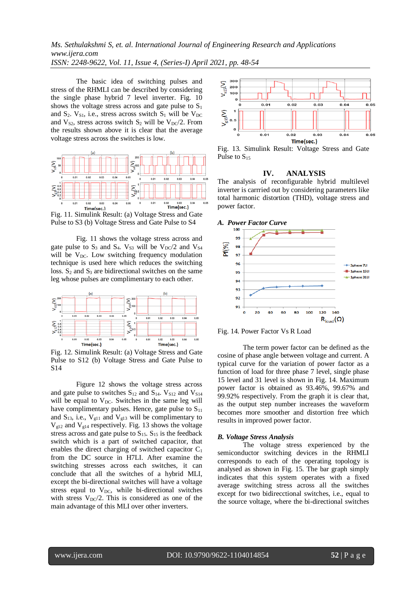# *Ms. Sethulakshmi S, et. al. International Journal of Engineering Research and Applications www.ijera.com ISSN: 2248-9622, Vol. 11, Issue 4, (Series-I) April 2021, pp. 48-54*

The basic idea of switching pulses and stress of the RHMLI can be described by considering the single phase hybrid 7 level inverter. Fig. 10 shows the voltage stress across and gate pulse to  $S_1$ and  $S_2$ .  $V_{S1}$ , i.e., stress across switch  $S_1$  will be  $V_{DC}$ and  $V_{S2}$ , stress across switch  $S_2$  will be  $V_{DC}/2$ . From the results shown above it is clear that the average voltage stress across the switches is low.



Fig. 11. Simulink Result: (a) Voltage Stress and Gate Pulse to S3 (b) Voltage Stress and Gate Pulse to S4

Fig. 11 shows the voltage stress across and gate pulse to  $S_3$  and  $S_4$ .  $V_{S3}$  will be  $V_{DC}/2$  and  $V_{S4}$ will be  $V_{DC}$ . Low switching frequency modulation technique is used here which reduces the switching loss.  $S_2$  and  $S_3$  are bidirectional switches on the same leg whose pulses are complimentary to each other.



Fig. 12. Simulink Result: (a) Voltage Stress and Gate Pulse to S12 (b) Voltage Stress and Gate Pulse to S14

Figure 12 shows the voltage stress across and gate pulse to switches  $S_{12}$  and  $S_{14}$ .  $V_{S12}$  and  $V_{S14}$ will be equal to  $V_{DC}$ . Switches in the same leg will have complimentary pulses. Hence, gate pulse to  $S_{11}$ and  $S_{13}$ , i.e.,  $V_{g11}$  and  $V_{g13}$  will be complimentary to  $V<sub>g12</sub>$  and  $V<sub>g14</sub>$  respectively. Fig. 13 shows the voltage stress across and gate pulse to  $S_{15}$ .  $S_{15}$  is the feedback switch which is a part of switched capacitor, that enables the direct charging of switched capacitor  $C_1$ from the DC source in H7LI. After examine the switching stresses across each switches, it can conclude that all the switches of a hybrid MLI, except the bi-directional switches will have a voltage stress eqaul to  $V_{DC}$ , while bi-directional switches with stress  $V_{\text{DC}}/2$ . This is considered as one of the main advantage of this MLI over other inverters.



Fig. 13. Simulink Result: Voltage Stress and Gate Pulse to  $S_{15}$ 

## **IV. ANALYSIS**

The analysis of reconfigurable hybrid multilevel inverter is carrried out by considering parameters like total harmonic distortion (THD), voltage stress and power factor.





The term power factor can be defined as the cosine of phase angle between voltage and current. A typical curve for the variation of power factor as a function of load for three phase 7 level, single phase 15 level and 31 level is shown in Fig. 14. Maximum power factor is obtained as 93.46%, 99.67% and 99.92% respectively. From the graph it is clear that, as the output step number increases the waveform becomes more smoother and distortion free which results in improved power factor.

## *B. Voltage Stress Analysis*

The voltage stress experienced by the semiconductor switching devices in the RHMLI corresponds to each of the operating topology is analysed as shown in Fig. 15. The bar graph simply indicates that this system operates with a fixed average switching stress across all the switches except for two bidirecctional switches, i.e., equal to the source voltage, where the bi-directional switches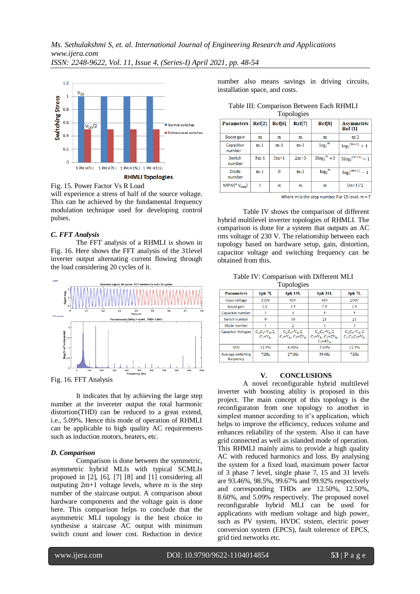

Fig. 15. Power Factor Vs R Load will experience a stress of half of the source voltage. This can be achieved by the fundamental frequency modulation technique used for developing control pulses.

## *C. FFT Analysis*

The FFT analysis of a RHMLI is shown in Fig. 16. Here shows the FFT analysis of the 31level inverter output alternating current flowing through the load considering 20 cycles of it.



Fig. 16. FFT Analysis

It indicates that by achieving the large step number at the invereter output the total harmonic distortion(THD) can be reduced to a great extend, i.e., 5.09%. Hence this mode of operation of RHMLI can be applicable to high quality AC requirements such as induction motors, heaters, etc.

## *D. Comparison*

Comparison is done between the symmetric, asymmetric hybrid MLIs with typical SCMLIs proposed in [2], [6], [7] [8] and [1] considering all outputing 2m+1 voltage levels, where m is the step number of the staircase output. A comparison about hardware components and the voltage gain is done here. This comparison helps to conclude that the asymmetric MLI topology is the best choice to synthesise a staircase AC output with minimum switch count and lower cost. Reduction in device number also means savings in driving circuits, installation space, and costs.

| Table III: Comparison Between Each RHMLI |  |
|------------------------------------------|--|
| Topologies                               |  |

| ັ                         |        |              |                 |                               |                                         |  |
|---------------------------|--------|--------------|-----------------|-------------------------------|-----------------------------------------|--|
| <b>Parameters</b>         | Ref[2] | Ref[6]       | $\text{Ref}[7]$ | Ref[8]                        | <b>Asymmetric</b><br>Ref <sub>[1]</sub> |  |
| <b>Boost gain</b>         | m      | m            | m               | m                             | m/2                                     |  |
| Capacitor<br>number       | $m-1$  | $m-1$        | $m-1$           | log <sub>2</sub> <sup>m</sup> | $log_2$ <sup>(m+1)</sup> + 1            |  |
| Switch<br>number          | $5m-1$ | $3m+1$       | $2m+3$          | $3\log_2{}^m + 3$             | $5\log_2$ <sup>(m+1)</sup> - 1          |  |
| <b>Diode</b><br>number    | $m-1$  | $\mathbf{0}$ | $m-1$           | $log_2$ <sup>m</sup>          | $log_2$ <sup>(m+1)</sup> - 1            |  |
| MPIV(*V <sub>step</sub> ) |        | m            | m               | m                             | $(m+1)/2$                               |  |

Where m is the step number. For 15 level,  $m = 7$ 

Table IV shows the comparison of different hybrid multilevel inverter topologies of RHMLI. The comparison is done for a system that outputs an AC rms voltage of 230 V. The relationship between each topology based on hardware setup, gain, distortion, capacitor voltage and switching frequency can be obtained from this.

Table IV: Comparison with Different MLI

| Topologies                     |                                              |                                                              |                                                                          |                                                        |  |  |  |
|--------------------------------|----------------------------------------------|--------------------------------------------------------------|--------------------------------------------------------------------------|--------------------------------------------------------|--|--|--|
| <b>Parameters</b>              | 1ph 7L                                       | 1ph 15L                                                      | 1ph 31L                                                                  | 3ph 7L                                                 |  |  |  |
| Input voltage                  | 210V                                         | 90V                                                          | 46V                                                                      | 210V                                                   |  |  |  |
| <b>Boost gain</b>              | 1.5                                          | 35                                                           | 75                                                                       | 1.5                                                    |  |  |  |
| Capacitor number               | 3                                            | 4                                                            | 5                                                                        | 5                                                      |  |  |  |
| Switch number                  | 9                                            | 16                                                           | 21                                                                       | 21                                                     |  |  |  |
| Diode number                   |                                              | $\overline{2}$                                               | 3                                                                        | 3                                                      |  |  |  |
| <b>Capacitor Voltages</b>      | $C_a$ , $C_b = V_{dc}/2$ ,<br>$C_1 = V_{4n}$ | $C_a$ , $C_b = V_{dc}/2$<br>$C_1 = V_{de}$ , $C_2 = 2V_{de}$ | $C_n.C_k=V_d/2$<br>$C_1 = V_{dec}$ , $C_2 = 2V_{dec}$<br>$C_3 = 4V_{dc}$ | $C_a$ , $C_b = V_{dc} / 2$<br>$C_1, C_2, C_3 = V_{dc}$ |  |  |  |
| <b>THD</b>                     | 12.5%                                        | 6.96%                                                        | 5.09%                                                                    | 12.5%                                                  |  |  |  |
| Average switching<br>frequency | 72Hz                                         | 271Hz                                                        | 584Hz                                                                    | 72Hz                                                   |  |  |  |

## **V. CONCLUSIONS**

A novel reconfigurable hybrid multilevel inverter with boosting ability is proposed in this project. The main concept of this topology is the reconfiguraton from one topology to another in simplest manner according to it's application, which helps to improve the efficiency, reduces volume and enhances reliability of the system. Also it can have grid connected as well as islanded mode of operation. This RHMLI mainly aims to provide a high quality AC with reduced harmonics and loss. By analysing the system for a fixed load, maximum power factor of 3 phase 7 level, single phase 7, 15 and 31 levels are 93.46%, 98.5%, 99.67% and 99.92% respectively and corresponding THDs are 12.50%, 12.50%, 8.60%, and 5.09% respectively. The proposed novel reconfigurable hybrid MLI can be used for applications with medium voltage and high power, such as PV system, HVDC ststem, electric power conversion system (EPCS), fault tolerence of EPCS, grid tied networks etc.